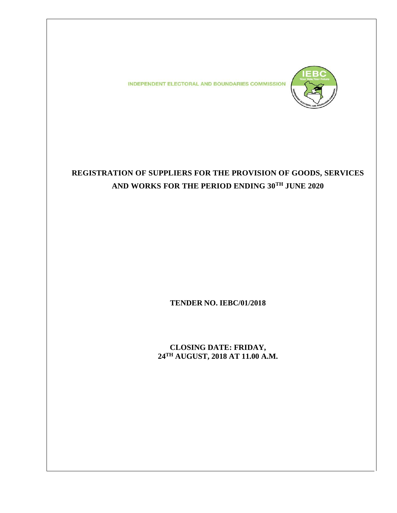**INDEPENDENT ELECTORAL AND BOUNDARIES COMMISSION** 



# **REGISTRATION OF SUPPLIERS FOR THE PROVISION OF GOODS, SERVICES AND WORKS FOR THE PERIOD ENDING 30TH JUNE 2020**

**TENDER NO. IEBC/01/2018**

**CLOSING DATE: FRIDAY, 24TH AUGUST, 2018 AT 11.00 A.M.**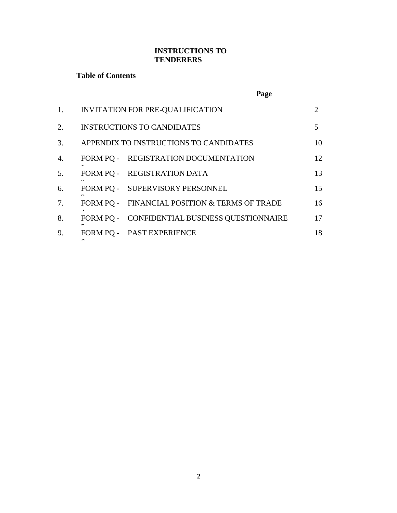## **INSTRUCTIONS TO TENDERERS**

## **Table of Contents**

|                  | Page                                          |                             |
|------------------|-----------------------------------------------|-----------------------------|
| 1.               | INVITATION FOR PRE-QUALIFICATION              | $\mathcal{D}_{\mathcal{L}}$ |
| 2.               | <b>INSTRUCTIONS TO CANDIDATES</b>             | 5                           |
| 3.               | APPENDIX TO INSTRUCTIONS TO CANDIDATES        | 10                          |
| $\overline{4}$ . | FORM PQ - REGISTRATION DOCUMENTATION          | 12                          |
| 5.               | FORM PO - REGISTRATION DATA                   | 13                          |
| 6.               | FORM PQ - SUPERVISORY PERSONNEL               | 15                          |
| 7.               | FORM PQ - FINANCIAL POSITION & TERMS OF TRADE | 16                          |
| 8.               | FORM PQ - CONFIDENTIAL BUSINESS QUESTIONNAIRE | 17                          |
| 9.               | FORM PQ - PAST EXPERIENCE                     | 18                          |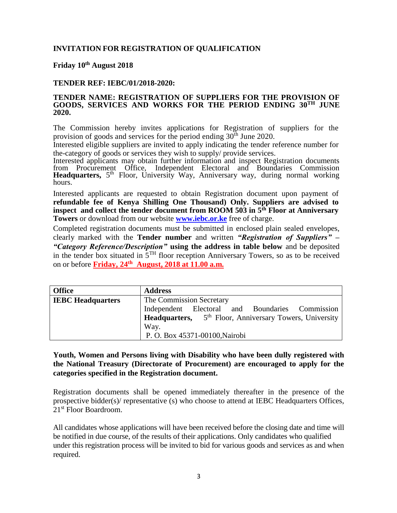## **INVITATION FOR REGISTRATION OF QUALIFICATION**

## **Friday 10th August 2018**

#### **TENDER REF: IEBC/01/2018-2020:**

#### **TENDER NAME: REGISTRATION OF SUPPLIERS FOR THE PROVISION OF GOODS, SERVICES AND WORKS FOR THE PERIOD ENDING 30TH JUNE 2020.**

The Commission hereby invites applications for Registration of suppliers for the provision of goods and services for the period ending  $30<sup>th</sup>$  June 2020.

Interested eligible suppliers are invited to apply indicating the tender reference number for the-category of goods or services they wish to supply/ provide services.

Interested applicants may obtain further information and inspect Registration documents from Procurement Office, Independent Electoral and Boundaries Commission **Headquarters,** 5<sup>th</sup> Floor, University Way, Anniversary way, during normal working hours.

Interested applicants are requested to obtain Registration document upon payment of **refundable fee of Kenya Shilling One Thousand) Only. Suppliers are advised to inspect and collect the tender document from ROOM 503 in 5th Floor at Anniversary Towers** or download from our website **[www.iebc.or.ke](http://www.iebc.or.ke/)** free of charge.

Completed registration documents must be submitted in enclosed plain sealed envelopes, clearly marked with the **Tender number** and written *"Registration of Suppliers" – "Category Reference/Description"* **using the address in table below** and be deposited in the tender box situated in  $5<sup>TH</sup>$  floor reception Anniversary Towers, so as to be received on or before **Friday, 24th August, 2018 at 11.00 a.m.**

| <b>Office</b>            | <b>Address</b>                                                      |  |  |
|--------------------------|---------------------------------------------------------------------|--|--|
| <b>IEBC Headquarters</b> | The Commission Secretary                                            |  |  |
|                          | Independent Electoral and Boundaries Commission                     |  |  |
|                          | Headquarters, 5 <sup>th</sup> Floor, Anniversary Towers, University |  |  |
|                          | Way.                                                                |  |  |
|                          | P. O. Box 45371-00100, Nairobi                                      |  |  |

## **Youth, Women and Persons living with Disability who have been dully registered with the National Treasury (Directorate of Procurement) are encouraged to apply for the categories specified in the Registration document.**

Registration documents shall be opened immediately thereafter in the presence of the prospective bidder(s)/ representative (s) who choose to attend at IEBC Headquarters Offices, 21st Floor Boardroom.

All candidates whose applications will have been received before the closing date and time will be notified in due course, of the results of their applications. Only candidates who qualified under this registration process will be invited to bid for various goods and services as and when required.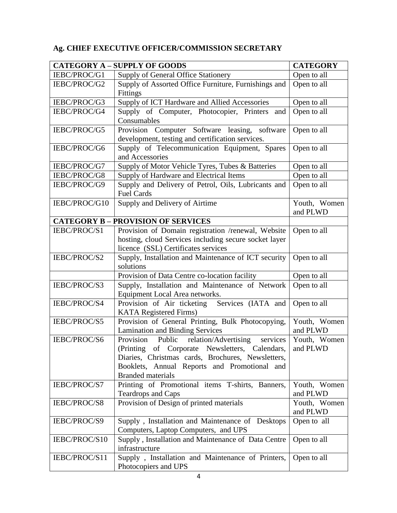## **Ag. CHIEF EXECUTIVE OFFICER/COMMISSION SECRETARY**

|               | <b>CATEGORY A - SUPPLY OF GOODS</b>                                                                                                                                                                                                     | <b>CATEGORY</b>          |
|---------------|-----------------------------------------------------------------------------------------------------------------------------------------------------------------------------------------------------------------------------------------|--------------------------|
| IEBC/PROC/G1  | Supply of General Office Stationery                                                                                                                                                                                                     | Open to all              |
| IEBC/PROC/G2  | Supply of Assorted Office Furniture, Furnishings and<br>Fittings                                                                                                                                                                        | Open to all              |
| IEBC/PROC/G3  | Supply of ICT Hardware and Allied Accessories                                                                                                                                                                                           | Open to all              |
| IEBC/PROC/G4  | Supply of Computer, Photocopier, Printers<br>and<br>Consumables                                                                                                                                                                         | Open to all              |
| IEBC/PROC/G5  | Provision Computer Software leasing, software<br>development, testing and certification services.                                                                                                                                       | Open to all              |
| IEBC/PROC/G6  | Supply of Telecommunication Equipment, Spares<br>and Accessories                                                                                                                                                                        | Open to all              |
| IEBC/PROC/G7  | Supply of Motor Vehicle Tyres, Tubes & Batteries                                                                                                                                                                                        | Open to all              |
| IEBC/PROC/G8  | Supply of Hardware and Electrical Items                                                                                                                                                                                                 | Open to all              |
| IEBC/PROC/G9  | Supply and Delivery of Petrol, Oils, Lubricants and<br><b>Fuel Cards</b>                                                                                                                                                                | Open to all              |
| IEBC/PROC/G10 | Supply and Delivery of Airtime                                                                                                                                                                                                          | Youth, Women<br>and PLWD |
|               | <b>CATEGORY B - PROVISION OF SERVICES</b>                                                                                                                                                                                               |                          |
| IEBC/PROC/S1  | Provision of Domain registration /renewal, Website                                                                                                                                                                                      | Open to all              |
|               | hosting, cloud Services including secure socket layer<br>licence (SSL) Certificates services                                                                                                                                            |                          |
| IEBC/PROC/S2  | Supply, Installation and Maintenance of ICT security<br>solutions                                                                                                                                                                       | Open to all              |
|               | Provision of Data Centre co-location facility                                                                                                                                                                                           | Open to all              |
| IEBC/PROC/S3  | Supply, Installation and Maintenance of Network<br>Equipment Local Area networks.                                                                                                                                                       | Open to all              |
| IEBC/PROC/S4  | Provision of Air ticketing<br>Services (IATA and<br><b>KATA</b> Registered Firms)                                                                                                                                                       | Open to all              |
| IEBC/PROC/S5  | Provision of General Printing, Bulk Photocopying,<br><b>Lamination and Binding Services</b>                                                                                                                                             | Youth, Women<br>and PLWD |
| IEBC/PROC/S6  | Public relation/Advertising<br>Provision<br>services<br>(Printing of Corporate Newsletters, Calendars,<br>Diaries, Christmas cards, Brochures, Newsletters,<br>Booklets, Annual Reports and Promotional and<br><b>Branded materials</b> | Youth, Women<br>and PLWD |
| IEBC/PROC/S7  | Printing of Promotional items T-shirts, Banners,<br><b>Teardrops and Caps</b>                                                                                                                                                           | Youth, Women<br>and PLWD |
| IEBC/PROC/S8  | Provision of Design of printed materials                                                                                                                                                                                                | Youth, Women<br>and PLWD |
| IEBC/PROC/S9  | Supply, Installation and Maintenance of Desktops<br>Computers, Laptop Computers, and UPS                                                                                                                                                | Open to all              |
| IEBC/PROC/S10 | Supply, Installation and Maintenance of Data Centre<br>infrastructure                                                                                                                                                                   | Open to all              |
| IEBC/PROC/S11 | Supply, Installation and Maintenance of Printers,<br>Photocopiers and UPS                                                                                                                                                               | Open to all              |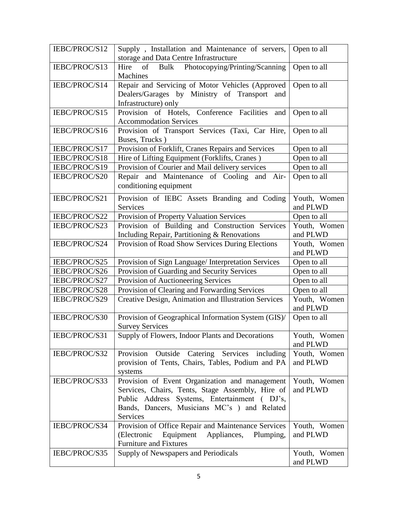| IEBC/PROC/S12 | Supply, Installation and Maintenance of servers,<br>storage and Data Centre Infrastructure                                                                                                                     | Open to all              |
|---------------|----------------------------------------------------------------------------------------------------------------------------------------------------------------------------------------------------------------|--------------------------|
| IEBC/PROC/S13 | of Bulk Photocopying/Printing/Scanning<br>Hire<br>Machines                                                                                                                                                     | Open to all              |
| IEBC/PROC/S14 | Repair and Servicing of Motor Vehicles (Approved<br>Dealers/Garages by Ministry of Transport<br>and<br>Infrastructure) only                                                                                    | Open to all              |
| IEBC/PROC/S15 | Provision of Hotels, Conference Facilities and<br><b>Accommodation Services</b>                                                                                                                                | Open to all              |
| IEBC/PROC/S16 | Provision of Transport Services (Taxi, Car Hire,<br>Buses, Trucks)                                                                                                                                             | Open to all              |
| IEBC/PROC/S17 | Provision of Forklift, Cranes Repairs and Services                                                                                                                                                             | Open to all              |
| IEBC/PROC/S18 | Hire of Lifting Equipment (Forklifts, Cranes)                                                                                                                                                                  | Open to all              |
| IEBC/PROC/S19 | Provision of Courier and Mail delivery services                                                                                                                                                                | Open to all              |
| IEBC/PROC/S20 | Repair and Maintenance of Cooling and Air-<br>conditioning equipment                                                                                                                                           | Open to all              |
| IEBC/PROC/S21 | Provision of IEBC Assets Branding and Coding<br>Services                                                                                                                                                       | Youth, Women<br>and PLWD |
| IEBC/PROC/S22 | Provision of Property Valuation Services                                                                                                                                                                       | Open to all              |
| IEBC/PROC/S23 | Provision of Building and Construction Services<br>Including Repair, Partitioning & Renovations                                                                                                                | Youth, Women<br>and PLWD |
| IEBC/PROC/S24 | Provision of Road Show Services During Elections                                                                                                                                                               | Youth, Women<br>and PLWD |
| IEBC/PROC/S25 | Provision of Sign Language/ Interpretation Services                                                                                                                                                            | Open to all              |
| IEBC/PROC/S26 | Provision of Guarding and Security Services                                                                                                                                                                    | Open to all              |
| IEBC/PROC/S27 | Provision of Auctioneering Services                                                                                                                                                                            | Open to all              |
| IEBC/PROC/S28 | Provision of Clearing and Forwarding Services                                                                                                                                                                  | Open to all              |
| IEBC/PROC/S29 | Creative Design, Animation and Illustration Services                                                                                                                                                           | Youth, Women<br>and PLWD |
| IEBC/PROC/S30 | Provision of Geographical Information System (GIS)/<br><b>Survey Services</b>                                                                                                                                  | Open to all              |
| IEBC/PROC/S31 | Supply of Flowers, Indoor Plants and Decorations                                                                                                                                                               | Youth, Women<br>and PLWD |
| IEBC/PROC/S32 | Provision<br>Outside<br>Catering Services<br>including<br>provision of Tents, Chairs, Tables, Podium and PA<br>systems                                                                                         | Youth, Women<br>and PLWD |
| IEBC/PROC/S33 | Provision of Event Organization and management<br>Services, Chairs, Tents, Stage Assembly, Hire of<br>Public Address Systems, Entertainment (DJ's,<br>Bands, Dancers, Musicians MC's ) and Related<br>Services | Youth, Women<br>and PLWD |
| IEBC/PROC/S34 | Provision of Office Repair and Maintenance Services<br>(Electronic<br>Equipment Appliances,<br>Plumping,<br><b>Furniture and Fixtures</b>                                                                      | Youth, Women<br>and PLWD |
| IEBC/PROC/S35 | Supply of Newspapers and Periodicals                                                                                                                                                                           | Youth, Women<br>and PLWD |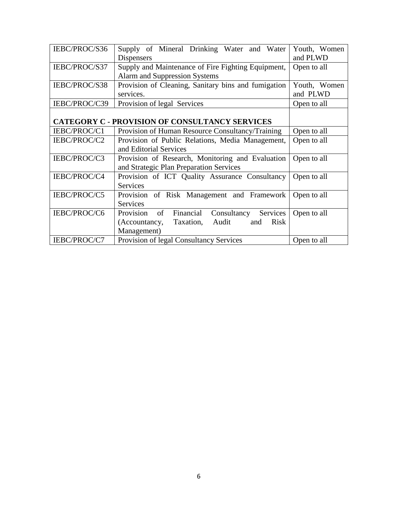| IEBC/PROC/S36 | Supply of Mineral Drinking Water and Water                | Youth, Women |
|---------------|-----------------------------------------------------------|--------------|
|               | <b>Dispensers</b>                                         | and PLWD     |
| IEBC/PROC/S37 | Supply and Maintenance of Fire Fighting Equipment,        | Open to all  |
|               | Alarm and Suppression Systems                             |              |
| IEBC/PROC/S38 | Provision of Cleaning, Sanitary bins and fumigation       | Youth, Women |
|               | services.                                                 | and PLWD     |
| IEBC/PROC/C39 | Provision of legal Services                               | Open to all  |
|               |                                                           |              |
|               | <b>CATEGORY C - PROVISION OF CONSULTANCY SERVICES</b>     |              |
| IEBC/PROC/C1  | Provision of Human Resource Consultancy/Training          | Open to all  |
| IEBC/PROC/C2  | Provision of Public Relations, Media Management,          | Open to all  |
|               | and Editorial Services                                    |              |
| IEBC/PROC/C3  | Provision of Research, Monitoring and Evaluation          | Open to all  |
|               | and Strategic Plan Preparation Services                   |              |
| IEBC/PROC/C4  | Provision of ICT Quality Assurance Consultancy            | Open to all  |
|               | <b>Services</b>                                           |              |
| IEBC/PROC/C5  | Provision of Risk Management and Framework                | Open to all  |
|               | <b>Services</b>                                           |              |
| IEBC/PROC/C6  | of<br>Financial<br>Consultancy<br>Services<br>Provision   | Open to all  |
|               | Taxation,<br>Audit<br><b>Risk</b><br>(Accountancy,<br>and |              |
|               | Management)                                               |              |
| IEBC/PROC/C7  | Provision of legal Consultancy Services                   | Open to all  |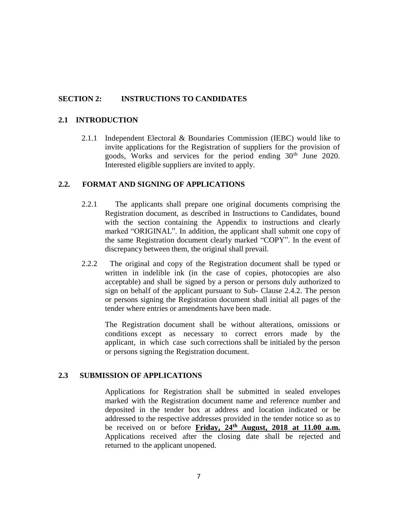## **SECTION 2: INSTRUCTIONS TO CANDIDATES**

#### **2.1 INTRODUCTION**

2.1.1 Independent Electoral & Boundaries Commission (IEBC) would like to invite applications for the Registration of suppliers for the provision of goods, Works and services for the period ending 30<sup>th</sup> June 2020. Interested eligible suppliers are invited to apply.

#### **2.2. FORMAT AND SIGNING OF APPLICATIONS**

- 2.2.1 The applicants shall prepare one original documents comprising the Registration document, as described in Instructions to Candidates, bound with the section containing the Appendix to instructions and clearly marked "ORIGINAL". In addition, the applicant shall submit one copy of the same Registration document clearly marked "COPY". In the event of discrepancy between them, the original shall prevail.
- 2.2.2 The original and copy of the Registration document shall be typed or written in indelible ink (in the case of copies, photocopies are also acceptable) and shall be signed by a person or persons duly authorized to sign on behalf of the applicant pursuant to Sub- Clause 2.4.2. The person or persons signing the Registration document shall initial all pages of the tender where entries or amendments have been made.

The Registration document shall be without alterations, omissions or conditions except as necessary to correct errors made by the applicant, in which case such corrections shall be initialed by the person or persons signing the Registration document.

### **2.3 SUBMISSION OF APPLICATIONS**

Applications for Registration shall be submitted in sealed envelopes marked with the Registration document name and reference number and deposited in the tender box at address and location indicated or be addressed to the respective addresses provided in the tender notice so as to be received on or before **Friday, 24th August, 2018 at 11.00 a.m.** Applications received after the closing date shall be rejected and returned to the applicant unopened.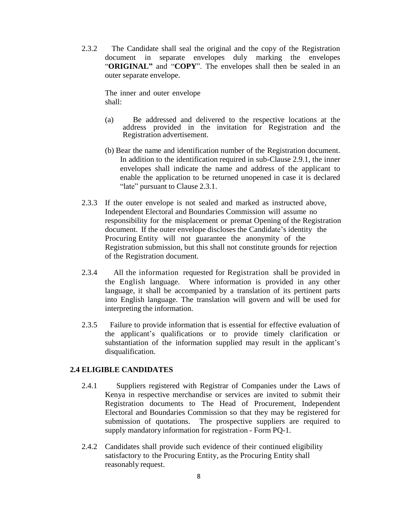2.3.2 The Candidate shall seal the original and the copy of the Registration document in separate envelopes duly marking the envelopes "**ORIGINAL"** and "**COPY**". The envelopes shall then be sealed in an outer separate envelope.

The inner and outer envelope shall:

- (a) Be addressed and delivered to the respective locations at the address provided in the invitation for Registration and the Registration advertisement.
- (b) Bear the name and identification number of the Registration document. In addition to the identification required in sub-Clause 2.9.1, the inner envelopes shall indicate the name and address of the applicant to enable the application to be returned unopened in case it is declared "late" pursuant to Clause 2.3.1.
- 2.3.3 If the outer envelope is not sealed and marked as instructed above, Independent Electoral and Boundaries Commission will assume no responsibility for the misplacement or premat Opening of the Registration document. If the outer envelope discloses the Candidate's identity the Procuring Entity will not guarantee the anonymity of the Registration submission, but this shall not constitute grounds for rejection of the Registration document.
- 2.3.4 All the information requested for Registration shall be provided in the English language. Where information is provided in any other language, it shall be accompanied by a translation of its pertinent parts into English language. The translation will govern and will be used for interpreting the information.
- 2.3.5 Failure to provide information that is essential for effective evaluation of the applicant's qualifications or to provide timely clarification or substantiation of the information supplied may result in the applicant's disqualification.

### **2.4 ELIGIBLE CANDIDATES**

- 2.4.1 Suppliers registered with Registrar of Companies under the Laws of Kenya in respective merchandise or services are invited to submit their Registration documents to The Head of Procurement, Independent Electoral and Boundaries Commission so that they may be registered for submission of quotations. The prospective suppliers are required to supply mandatory information for registration - Form PQ-1.
- 2.4.2 Candidates shall provide such evidence of their continued eligibility satisfactory to the Procuring Entity, as the Procuring Entity shall reasonably request.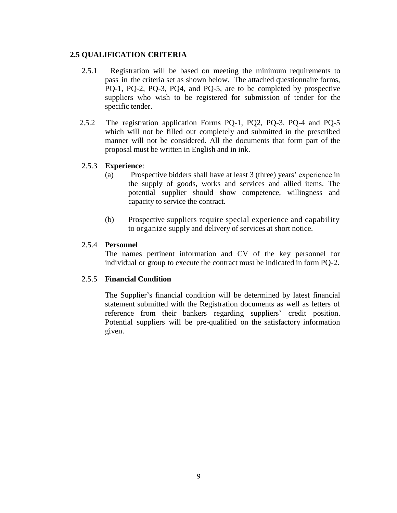## **2.5 QUALIFICATION CRITERIA**

- 2.5.1 Registration will be based on meeting the minimum requirements to pass in the criteria set as shown below. The attached questionnaire forms, PQ-1, PQ-2, PQ-3, PQ4, and PQ-5, are to be completed by prospective suppliers who wish to be registered for submission of tender for the specific tender.
- 2.5.2 The registration application Forms PQ-1, PQ2, PQ-3, PQ-4 and PQ-5 which will not be filled out completely and submitted in the prescribed manner will not be considered. All the documents that form part of the proposal must be written in English and in ink.

### 2.5.3 **Experience**:

- (a) Prospective bidders shall have at least 3 (three) years' experience in the supply of goods, works and services and allied items. The potential supplier should show competence, willingness and capacity to service the contract.
- (b) Prospective suppliers require special experience and capability to organize supply and delivery of services at short notice.

## 2.5.4 **Personnel**

The names pertinent information and CV of the key personnel for individual or group to execute the contract must be indicated in form PQ-2.

### 2.5.5 **Financial Condition**

The Supplier's financial condition will be determined by latest financial statement submitted with the Registration documents as well as letters of reference from their bankers regarding suppliers' credit position. Potential suppliers will be pre-qualified on the satisfactory information given.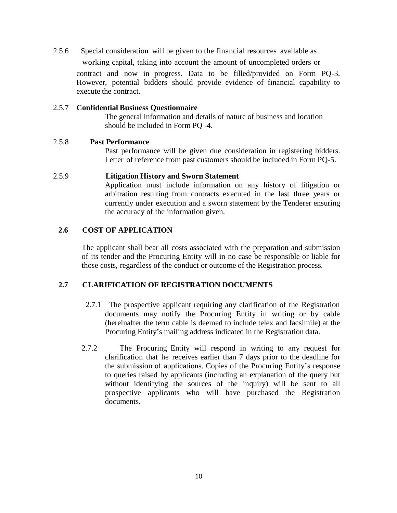2.5.6 Special consideration will be given to the financial resources available as

working capital, taking into account the amount of uncompleted orders or

contract and now in progress. Data to be filled/provided on Form PQ-3. However, potential bidders should provide evidence of financial capability to execute the contract.

#### 2.5.7 **Confidential Business Questionnaire**

The general information and details of nature of business and location should be included in Form PQ -4.

#### 2.5.8 **Past Performance**

Past performance will be given due consideration in registering bidders. Letter of reference from past customers should be included in Form PQ-5.

### 2.5.9 **Litigation History and Sworn Statement**

Application must include information on any history of litigation or arbitration resulting from contracts executed in the last three years or currently under execution and a sworn statement by the Tenderer ensuring the accuracy of the information given.

## **2.6 COST OF APPLICATION**

The applicant shall bear all costs associated with the preparation and submission of its tender and the Procuring Entity will in no case be responsible or liable for those costs, regardless of the conduct or outcome of the Registration process.

### **2.7 CLARIFICATION OF REGISTRATION DOCUMENTS**

- 2.7.1 The prospective applicant requiring any clarification of the Registration documents may notify the Procuring Entity in writing or by cable (hereinafter the term cable is deemed to include telex and facsimile) at the Procuring Entity's mailing address indicated in the Registration data.
- 2.7.2 The Procuring Entity will respond in writing to any request for clarification that he receives earlier than 7 days prior to the deadline for the submission of applications. Copies of the Procuring Entity's response to queries raised by applicants (including an explanation of the query but without identifying the sources of the inquiry) will be sent to all prospective applicants who will have purchased the Registration documents.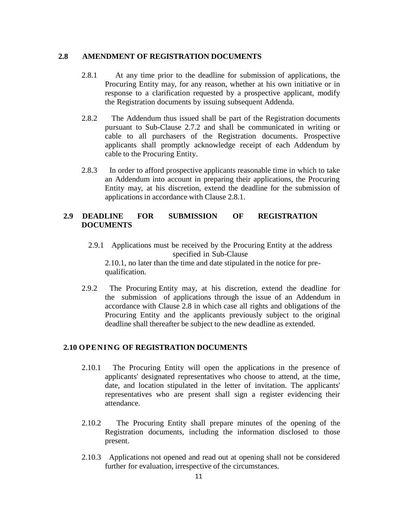#### **2.8 AMENDMENT OF REGISTRATION DOCUMENTS**

- 2.8.1 At any time prior to the deadline for submission of applications, the Procuring Entity may, for any reason, whether at his own initiative or in response to a clarification requested by a prospective applicant, modify the Registration documents by issuing subsequent Addenda.
- 2.8.2 The Addendum thus issued shall be part of the Registration documents pursuant to Sub-Clause 2.7.2 and shall be communicated in writing or cable to all purchasers of the Registration documents. Prospective applicants shall promptly acknowledge receipt of each Addendum by cable to the Procuring Entity.
- 2.8.3 In order to afford prospective applicants reasonable time in which to take an Addendum into account in preparing their applications, the Procuring Entity may, at his discretion, extend the deadline for the submission of applications in accordance with Clause 2.8.1.

### **2.9 DEADLINE FOR SUBMISSION OF REGISTRATION DOCUMENTS**

2.9.1 Applications must be received by the Procuring Entity at the address specified in Sub-Clause

2.10.1, no later than the time and date stipulated in the notice for prequalification.

2.9.2 The Procuring Entity may, at his discretion, extend the deadline for the submission of applications through the issue of an Addendum in accordance with Clause 2.8 in which case all rights and obligations of the Procuring Entity and the applicants previously subject to the original deadline shall thereafter be subject to the new deadline as extended.

### **2.10 OPENING OF REGISTRATION DOCUMENTS**

- 2.10.1 The Procuring Entity will open the applications in the presence of applicants' designated representatives who choose to attend, at the time, date, and location stipulated in the letter of invitation. The applicants' representatives who are present shall sign a register evidencing their attendance.
- 2.10.2 The Procuring Entity shall prepare minutes of the opening of the Registration documents, including the information disclosed to those present.
- 2.10.3 Applications not opened and read out at opening shall not be considered further for evaluation, irrespective of the circumstances.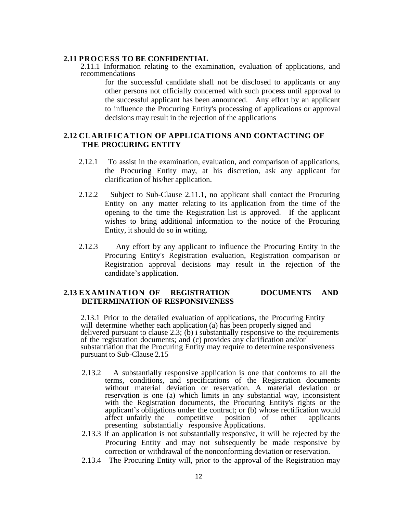#### **2.11 PROCESS TO BE CONFIDENTIAL**

2.11.1 Information relating to the examination, evaluation of applications, and recommendations

for the successful candidate shall not be disclosed to applicants or any other persons not officially concerned with such process until approval to the successful applicant has been announced. Any effort by an applicant to influence the Procuring Entity's processing of applications or approval decisions may result in the rejection of the applications

## **2.12 CLARIFICATION OF APPLICATIONS AND CONTACTING OF THE PROCURING ENTITY**

- 2.12.1 To assist in the examination, evaluation, and comparison of applications, the Procuring Entity may, at his discretion, ask any applicant for clarification of his/her application.
- 2.12.2 Subject to Sub-Clause 2.11.1, no applicant shall contact the Procuring Entity on any matter relating to its application from the time of the opening to the time the Registration list is approved. If the applicant wishes to bring additional information to the notice of the Procuring Entity, it should do so in writing.
- 2.12.3 Any effort by any applicant to influence the Procuring Entity in the Procuring Entity's Registration evaluation, Registration comparison or Registration approval decisions may result in the rejection of the candidate's application.

#### **2.13 EXAMINATION OF REGISTRATION DOCUMENTS AND DETERMINATION OF RESPONSIVENESS**

2.13.1 Prior to the detailed evaluation of applications, the Procuring Entity will determine whether each application (a) has been properly signed and delivered pursuant to clause 2.3; (b) i substantially responsive to the requirements of the registration documents; and (c) provides any clarification and/or substantiation that the Procuring Entity may require to determine responsiveness pursuant to Sub-Clause 2.15

- 2.13.2 A substantially responsive application is one that conforms to all the terms, conditions, and specifications of the Registration documents without material deviation or reservation. A material deviation or reservation is one (a) which limits in any substantial way, inconsistent with the Registration documents, the Procuring Entity's rights or the applicant's obligations under the contract; or (b) whose rectification would affect unfairly the competitive position of other applicants affect unfairly the competitive position of other applicants presenting substantially responsive Applications.
- 2.13.3 If an application is not substantially responsive, it will be rejected by the Procuring Entity and may not subsequently be made responsive by correction or withdrawal of the nonconforming deviation or reservation.
- 2.13.4 The Procuring Entity will, prior to the approval of the Registration may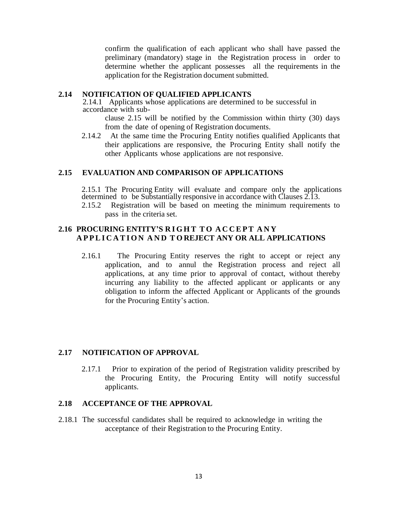confirm the qualification of each applicant who shall have passed the preliminary (mandatory) stage in the Registration process in order to determine whether the applicant possesses all the requirements in the application for the Registration document submitted.

### **2.14 NOTIFICATION OF QUALIFIED APPLICANTS**

2.14.1 Applicants whose applications are determined to be successful in accordance with sub-

clause 2.15 will be notified by the Commission within thirty (30) days from the date of opening of Registration documents.

2.14.2 At the same time the Procuring Entity notifies qualified Applicants that their applications are responsive, the Procuring Entity shall notify the other Applicants whose applications are not responsive.

#### **2.15 EVALUATION AND COMPARISON OF APPLICATIONS**

2.15.1 The Procuring Entity will evaluate and compare only the applications determined to be Substantially responsive in accordance with Clauses 2.13.

2.15.2 Registration will be based on meeting the minimum requirements to pass in the criteria set.

### **2.16 PROCURING ENTITY'S R I G H T T O A C C E P T A N Y A P P L I C A T I O N AND T O REJECT ANY OR ALL APPLICATIONS**

2.16.1 The Procuring Entity reserves the right to accept or reject any application, and to annul the Registration process and reject all applications, at any time prior to approval of contact, without thereby incurring any liability to the affected applicant or applicants or any obligation to inform the affected Applicant or Applicants of the grounds for the Procuring Entity's action.

## **2.17 NOTIFICATION OF APPROVAL**

2.17.1 Prior to expiration of the period of Registration validity prescribed by the Procuring Entity, the Procuring Entity will notify successful applicants.

#### **2.18 ACCEPTANCE OF THE APPROVAL**

2.18.1 The successful candidates shall be required to acknowledge in writing the acceptance of their Registration to the Procuring Entity.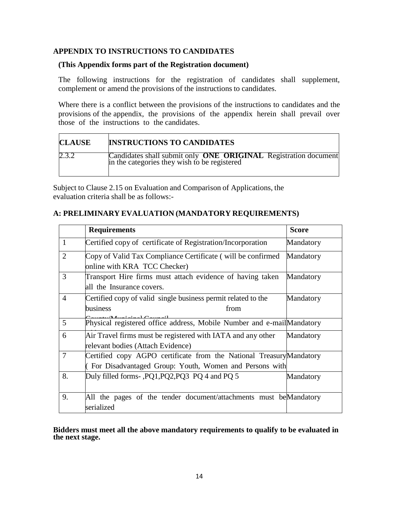## **APPENDIX TO INSTRUCTIONS TO CANDIDATES**

#### **(This Appendix forms part of the Registration document)**

The following instructions for the registration of candidates shall supplement, complement or amend the provisions of the instructions to candidates.

Where there is a conflict between the provisions of the instructions to candidates and the provisions of the appendix, the provisions of the appendix herein shall prevail over those of the instructions to the candidates.

| <b>CLAUSE</b> | <b>INSTRUCTIONS TO CANDIDATES</b>                                                                                      |
|---------------|------------------------------------------------------------------------------------------------------------------------|
| 2.3.2         | Candidates shall submit only <b>ONE ORIGINAL</b> Registration document<br>in the categories they wish to be registered |

Subject to Clause 2.15 on Evaluation and Comparison of Applications, the evaluation criteria shall be as follows:-

|                | <b>Requirements</b>                                                   | <b>Score</b> |
|----------------|-----------------------------------------------------------------------|--------------|
| $\mathbf{1}$   | Certified copy of certificate of Registration/Incorporation           | Mandatory    |
| 2              | Copy of Valid Tax Compliance Certificate (will be confirmed           | Mandatory    |
|                | online with KRA TCC Checker)                                          |              |
| 3              | Transport Hire firms must attach evidence of having taken             | Mandatory    |
|                | all the Insurance covers.                                             |              |
| $\overline{4}$ | Certified copy of valid single business permit related to the         | Mandatory    |
|                | business<br>from                                                      |              |
| 5              | Physical registered office address, Mobile Number and e-mailMandatory |              |
|                |                                                                       |              |
| 6              | Air Travel firms must be registered with IATA and any other           | Mandatory    |
|                | relevant bodies (Attach Evidence)                                     |              |
| $\tau$         | Certified copy AGPO certificate from the National Treasury Mandatory  |              |
|                | (For Disadvantaged Group: Youth, Women and Persons with               |              |
| 8.             | Duly filled forms-, PQ1, PQ2, PQ3 PQ4 and PQ 5                        | Mandatory    |
|                |                                                                       |              |
| 9.             | All the pages of the tender document/attachments must be Mandatory    |              |
|                | serialized                                                            |              |

### **A: PRELIMINARY EVALUATION (MANDATORY REQUIREMENTS)**

**Bidders must meet all the above mandatory requirements to qualify to be evaluated in the next stage.**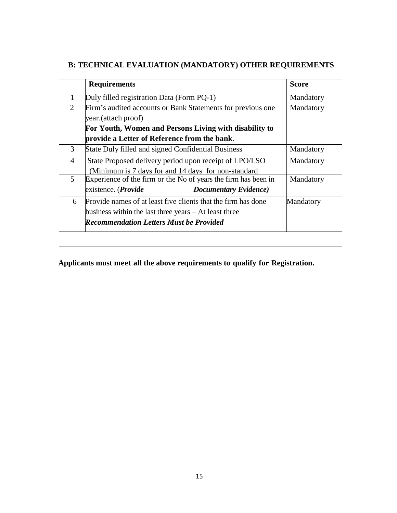|   | <b>Requirements</b>                                                                                                                                                        | <b>Score</b> |
|---|----------------------------------------------------------------------------------------------------------------------------------------------------------------------------|--------------|
| 1 | Duly filled registration Data (Form PQ-1)                                                                                                                                  | Mandatory    |
| 2 | Firm's audited accounts or Bank Statements for previous one<br>year. (attach proof)                                                                                        | Mandatory    |
|   | For Youth, Women and Persons Living with disability to                                                                                                                     |              |
|   | provide a Letter of Reference from the bank.                                                                                                                               |              |
| 3 | State Duly filled and signed Confidential Business                                                                                                                         | Mandatory    |
| 4 | State Proposed delivery period upon receipt of LPO/LSO<br>(Minimum is 7 days for and 14 days for non-standard)                                                             | Mandatory    |
| 5 | Experience of the firm or the No of years the firm has been in<br>existence. (Provide<br><b>Documentary Evidence</b> )                                                     | Mandatory    |
| 6 | Provide names of at least five clients that the firm has done<br>business within the last three years $-$ At least three<br><b>Recommendation Letters Must be Provided</b> | Mandatory    |

# **B: TECHNICAL EVALUATION (MANDATORY) OTHER REQUIREMENTS**

**Applicants must meet all the above requirements to qualify for Registration.**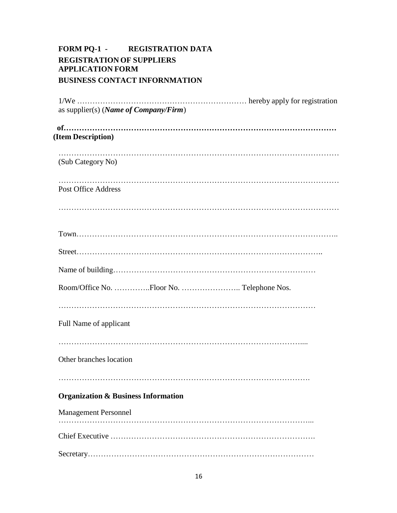## **FORM PQ-1 - REGISTRATION DATA REGISTRATION OF SUPPLIERS APPLICATION FORM BUSINESS CONTACT INFORNMATION**

| as supplier(s) ( <i>Name of Company/Firm</i> ) |
|------------------------------------------------|
| (Item Description)                             |
| (Sub Category No)                              |
| <b>Post Office Address</b>                     |
|                                                |
|                                                |
|                                                |
|                                                |
|                                                |
|                                                |
| Full Name of applicant                         |
| Other branches location                        |
|                                                |
| <b>Organization &amp; Business Information</b> |
| <b>Management Personnel</b>                    |
|                                                |
|                                                |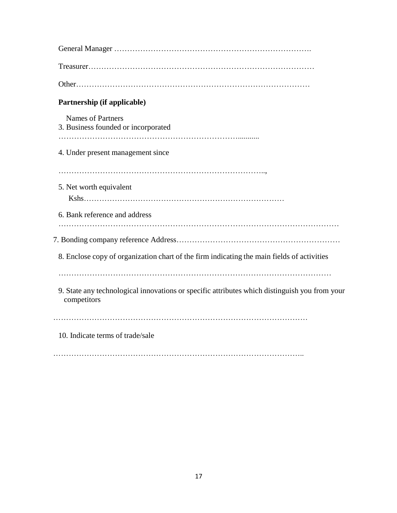| Partnership (if applicable)                                                                                  |
|--------------------------------------------------------------------------------------------------------------|
| <b>Names of Partners</b><br>3. Business founded or incorporated                                              |
| 4. Under present management since                                                                            |
| 5. Net worth equivalent                                                                                      |
| 6. Bank reference and address                                                                                |
|                                                                                                              |
| 8. Enclose copy of organization chart of the firm indicating the main fields of activities                   |
| 9. State any technological innovations or specific attributes which distinguish you from your<br>competitors |
| 10. Indicate terms of trade/sale                                                                             |
|                                                                                                              |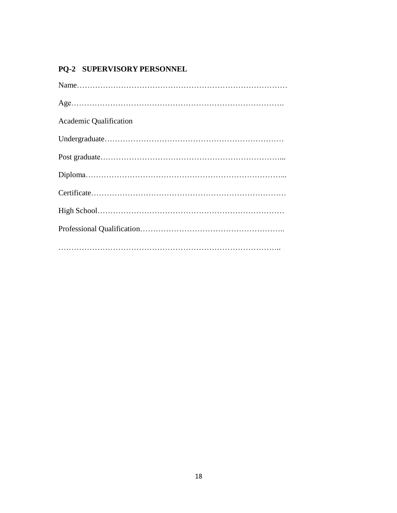# **PQ-2 SUPERVISORY PERSONNEL**

| <b>Academic Qualification</b> |
|-------------------------------|
|                               |
|                               |
|                               |
|                               |
|                               |
|                               |
|                               |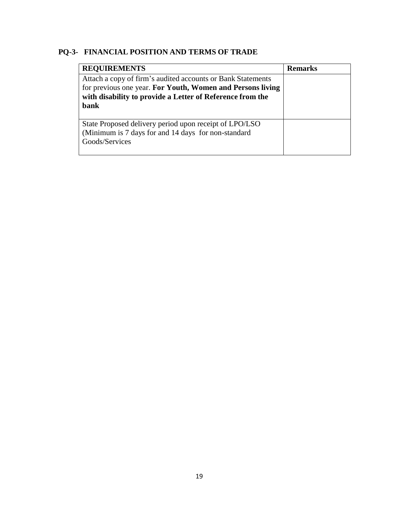# **PQ-3- FINANCIAL POSITION AND TERMS OF TRADE**

| <b>REQUIREMENTS</b>                                                                                                                                                                            | <b>Remarks</b> |
|------------------------------------------------------------------------------------------------------------------------------------------------------------------------------------------------|----------------|
| Attach a copy of firm's audited accounts or Bank Statements<br>for previous one year. For Youth, Women and Persons living<br>with disability to provide a Letter of Reference from the<br>bank |                |
| State Proposed delivery period upon receipt of LPO/LSO<br>(Minimum is 7 days for and 14 days for non-standard)<br>Goods/Services                                                               |                |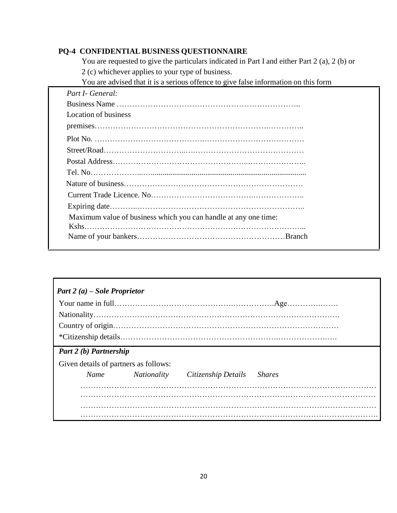## **PQ-4 CONFIDENTIAL BUSINESS QUESTIONNAIRE**

You are requested to give the particulars indicated in Part I and either Part 2 (a), 2 (b) or 2 (c) whichever applies to your type of business.

You are advised that it is a serious offence to give false information on this form

| Part I- General:            |                                                                 |
|-----------------------------|-----------------------------------------------------------------|
|                             |                                                                 |
| <b>Location of business</b> |                                                                 |
|                             |                                                                 |
|                             |                                                                 |
|                             |                                                                 |
|                             |                                                                 |
|                             |                                                                 |
|                             |                                                                 |
|                             |                                                                 |
|                             |                                                                 |
|                             | Maximum value of business which you can handle at any one time: |
|                             |                                                                 |
|                             |                                                                 |

| Part 2 (a) – Sole Proprietor          |             |                     |               |
|---------------------------------------|-------------|---------------------|---------------|
|                                       |             |                     |               |
|                                       |             |                     |               |
|                                       |             |                     |               |
|                                       |             |                     |               |
| Part 2 (b) Partnership                |             |                     |               |
| Given details of partners as follows: |             |                     |               |
| Name                                  | Nationality | Citizenship Details | <i>Shares</i> |
|                                       |             |                     |               |
|                                       |             |                     |               |
|                                       |             |                     |               |
|                                       |             |                     |               |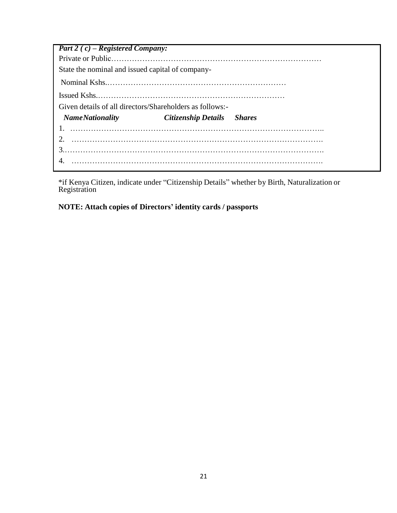| <b>Part 2</b> (c) – Registered Company:                  |                                   |  |
|----------------------------------------------------------|-----------------------------------|--|
|                                                          |                                   |  |
| State the nominal and issued capital of company-         |                                   |  |
|                                                          |                                   |  |
|                                                          |                                   |  |
| Given details of all directors/Shareholders as follows:- |                                   |  |
| <b>NameNationality</b>                                   | <b>Citizenship Details</b> Shares |  |
|                                                          |                                   |  |
|                                                          |                                   |  |
|                                                          |                                   |  |
|                                                          |                                   |  |
|                                                          |                                   |  |

\*if Kenya Citizen, indicate under "Citizenship Details" whether by Birth, Naturalization or Registration

**NOTE: Attach copies of Directors' identity cards / passports**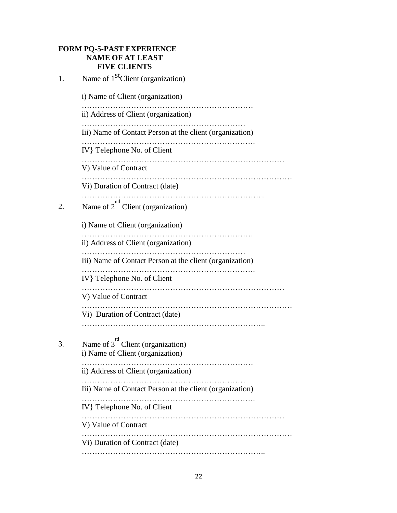# **FORM PQ-5-PAST EXPERIENCE NAME OF AT LEAST FIVE CLIENTS**

| 1. | Name of 1 <sup>st</sup> Client (organization)                              |
|----|----------------------------------------------------------------------------|
|    | i) Name of Client (organization)                                           |
|    | ii) Address of Client (organization)                                       |
|    | Iii) Name of Contact Person at the client (organization)                   |
|    | IV } Telephone No. of Client                                               |
|    | V) Value of Contract                                                       |
|    | Vi) Duration of Contract (date)                                            |
| 2. | Name of $2^{nd}$ Client (organization)                                     |
|    | i) Name of Client (organization)                                           |
|    | ii) Address of Client (organization)                                       |
|    | Iii) Name of Contact Person at the client (organization)                   |
|    | IV } Telephone No. of Client                                               |
|    | V) Value of Contract                                                       |
|    | Vi) Duration of Contract (date)                                            |
| 3. | Name of $3^{rd}$ Client (organization)<br>i) Name of Client (organization) |
|    | ii) Address of Client (organization)                                       |
|    | Iii) Name of Contact Person at the client (organization)                   |
|    | IV } Telephone No. of Client                                               |
|    | .<br>V) Value of Contract                                                  |
|    | Vi) Duration of Contract (date)                                            |
|    |                                                                            |